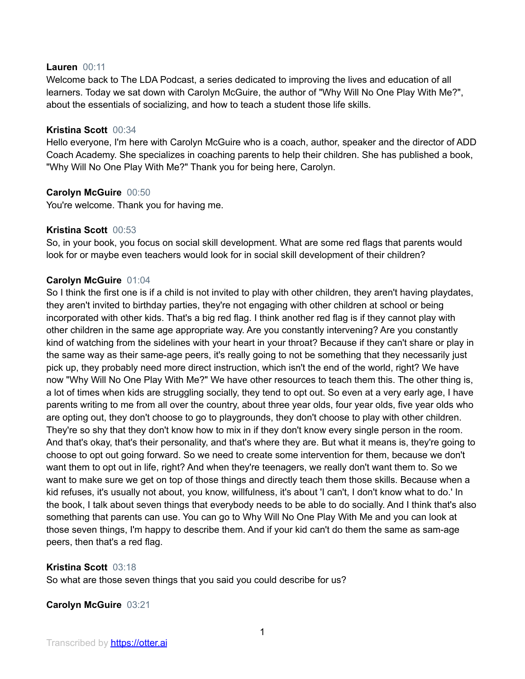#### **Lauren** 00:11

Welcome back to The LDA Podcast, a series dedicated to improving the lives and education of all learners. Today we sat down with Carolyn McGuire, the author of "Why Will No One Play With Me?", about the essentials of socializing, and how to teach a student those life skills.

### **Kristina Scott** 00:34

Hello everyone, I'm here with Carolyn McGuire who is a coach, author, speaker and the director of ADD Coach Academy. She specializes in coaching parents to help their children. She has published a book, "Why Will No One Play With Me?" Thank you for being here, Carolyn.

## **Carolyn McGuire** 00:50

You're welcome. Thank you for having me.

### **Kristina Scott** 00:53

So, in your book, you focus on social skill development. What are some red flags that parents would look for or maybe even teachers would look for in social skill development of their children?

### **Carolyn McGuire** 01:04

So I think the first one is if a child is not invited to play with other children, they aren't having playdates, they aren't invited to birthday parties, they're not engaging with other children at school or being incorporated with other kids. That's a big red flag. I think another red flag is if they cannot play with other children in the same age appropriate way. Are you constantly intervening? Are you constantly kind of watching from the sidelines with your heart in your throat? Because if they can't share or play in the same way as their same-age peers, it's really going to not be something that they necessarily just pick up, they probably need more direct instruction, which isn't the end of the world, right? We have now "Why Will No One Play With Me?" We have other resources to teach them this. The other thing is, a lot of times when kids are struggling socially, they tend to opt out. So even at a very early age, I have parents writing to me from all over the country, about three year olds, four year olds, five year olds who are opting out, they don't choose to go to playgrounds, they don't choose to play with other children. They're so shy that they don't know how to mix in if they don't know every single person in the room. And that's okay, that's their personality, and that's where they are. But what it means is, they're going to choose to opt out going forward. So we need to create some intervention for them, because we don't want them to opt out in life, right? And when they're teenagers, we really don't want them to. So we want to make sure we get on top of those things and directly teach them those skills. Because when a kid refuses, it's usually not about, you know, willfulness, it's about 'I can't, I don't know what to do.' In the book, I talk about seven things that everybody needs to be able to do socially. And I think that's also something that parents can use. You can go to Why Will No One Play With Me and you can look at those seven things, I'm happy to describe them. And if your kid can't do them the same as sam-age peers, then that's a red flag.

#### **Kristina Scott** 03:18

So what are those seven things that you said you could describe for us?

## **Carolyn McGuire** 03:21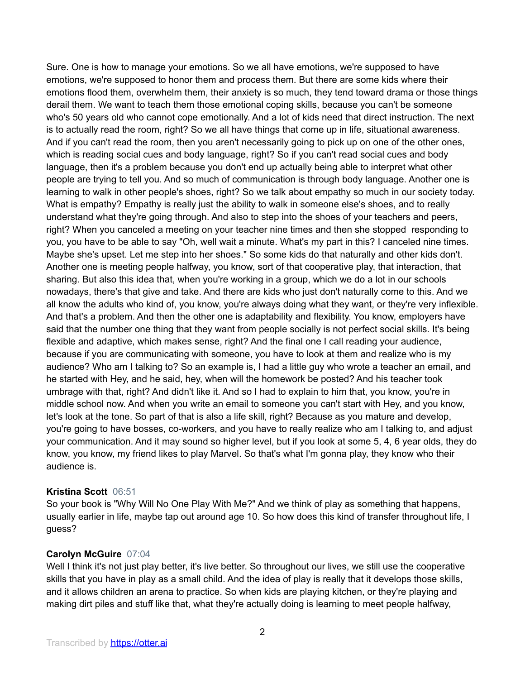Sure. One is how to manage your emotions. So we all have emotions, we're supposed to have emotions, we're supposed to honor them and process them. But there are some kids where their emotions flood them, overwhelm them, their anxiety is so much, they tend toward drama or those things derail them. We want to teach them those emotional coping skills, because you can't be someone who's 50 years old who cannot cope emotionally. And a lot of kids need that direct instruction. The next is to actually read the room, right? So we all have things that come up in life, situational awareness. And if you can't read the room, then you aren't necessarily going to pick up on one of the other ones, which is reading social cues and body language, right? So if you can't read social cues and body language, then it's a problem because you don't end up actually being able to interpret what other people are trying to tell you. And so much of communication is through body language. Another one is learning to walk in other people's shoes, right? So we talk about empathy so much in our society today. What is empathy? Empathy is really just the ability to walk in someone else's shoes, and to really understand what they're going through. And also to step into the shoes of your teachers and peers, right? When you canceled a meeting on your teacher nine times and then she stopped responding to you, you have to be able to say "Oh, well wait a minute. What's my part in this? I canceled nine times. Maybe she's upset. Let me step into her shoes." So some kids do that naturally and other kids don't. Another one is meeting people halfway, you know, sort of that cooperative play, that interaction, that sharing. But also this idea that, when you're working in a group, which we do a lot in our schools nowadays, there's that give and take. And there are kids who just don't naturally come to this. And we all know the adults who kind of, you know, you're always doing what they want, or they're very inflexible. And that's a problem. And then the other one is adaptability and flexibility. You know, employers have said that the number one thing that they want from people socially is not perfect social skills. It's being flexible and adaptive, which makes sense, right? And the final one I call reading your audience, because if you are communicating with someone, you have to look at them and realize who is my audience? Who am I talking to? So an example is, I had a little guy who wrote a teacher an email, and he started with Hey, and he said, hey, when will the homework be posted? And his teacher took umbrage with that, right? And didn't like it. And so I had to explain to him that, you know, you're in middle school now. And when you write an email to someone you can't start with Hey, and you know, let's look at the tone. So part of that is also a life skill, right? Because as you mature and develop, you're going to have bosses, co-workers, and you have to really realize who am I talking to, and adjust your communication. And it may sound so higher level, but if you look at some 5, 4, 6 year olds, they do know, you know, my friend likes to play Marvel. So that's what I'm gonna play, they know who their audience is.

## **Kristina Scott** 06:51

So your book is "Why Will No One Play With Me?" And we think of play as something that happens, usually earlier in life, maybe tap out around age 10. So how does this kind of transfer throughout life, I guess?

#### **Carolyn McGuire** 07:04

Well I think it's not just play better, it's live better. So throughout our lives, we still use the cooperative skills that you have in play as a small child. And the idea of play is really that it develops those skills, and it allows children an arena to practice. So when kids are playing kitchen, or they're playing and making dirt piles and stuff like that, what they're actually doing is learning to meet people halfway,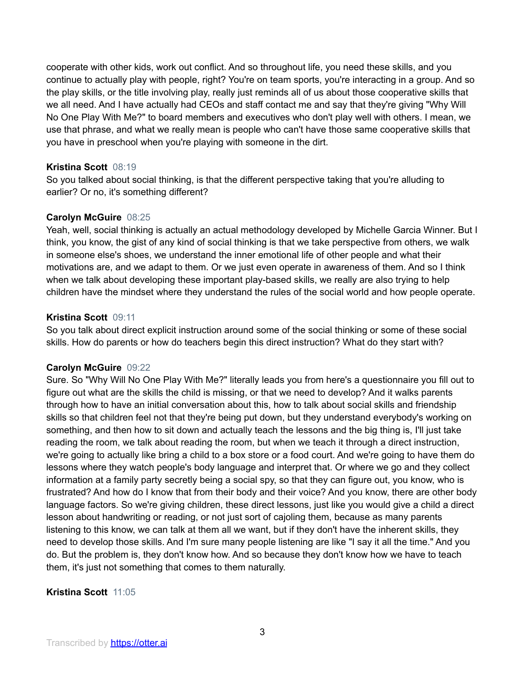cooperate with other kids, work out conflict. And so throughout life, you need these skills, and you continue to actually play with people, right? You're on team sports, you're interacting in a group. And so the play skills, or the title involving play, really just reminds all of us about those cooperative skills that we all need. And I have actually had CEOs and staff contact me and say that they're giving "Why Will No One Play With Me?" to board members and executives who don't play well with others. I mean, we use that phrase, and what we really mean is people who can't have those same cooperative skills that you have in preschool when you're playing with someone in the dirt.

## **Kristina Scott** 08:19

So you talked about social thinking, is that the different perspective taking that you're alluding to earlier? Or no, it's something different?

## **Carolyn McGuire** 08:25

Yeah, well, social thinking is actually an actual methodology developed by Michelle Garcia Winner. But I think, you know, the gist of any kind of social thinking is that we take perspective from others, we walk in someone else's shoes, we understand the inner emotional life of other people and what their motivations are, and we adapt to them. Or we just even operate in awareness of them. And so I think when we talk about developing these important play-based skills, we really are also trying to help children have the mindset where they understand the rules of the social world and how people operate.

### **Kristina Scott** 09:11

So you talk about direct explicit instruction around some of the social thinking or some of these social skills. How do parents or how do teachers begin this direct instruction? What do they start with?

## **Carolyn McGuire** 09:22

Sure. So "Why Will No One Play With Me?" literally leads you from here's a questionnaire you fill out to figure out what are the skills the child is missing, or that we need to develop? And it walks parents through how to have an initial conversation about this, how to talk about social skills and friendship skills so that children feel not that they're being put down, but they understand everybody's working on something, and then how to sit down and actually teach the lessons and the big thing is, I'll just take reading the room, we talk about reading the room, but when we teach it through a direct instruction, we're going to actually like bring a child to a box store or a food court. And we're going to have them do lessons where they watch people's body language and interpret that. Or where we go and they collect information at a family party secretly being a social spy, so that they can figure out, you know, who is frustrated? And how do I know that from their body and their voice? And you know, there are other body language factors. So we're giving children, these direct lessons, just like you would give a child a direct lesson about handwriting or reading, or not just sort of cajoling them, because as many parents listening to this know, we can talk at them all we want, but if they don't have the inherent skills, they need to develop those skills. And I'm sure many people listening are like "I say it all the time." And you do. But the problem is, they don't know how. And so because they don't know how we have to teach them, it's just not something that comes to them naturally.

## **Kristina Scott** 11:05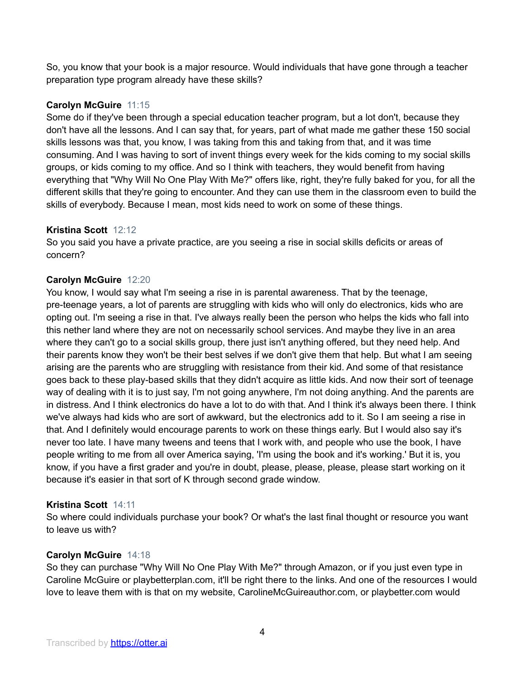So, you know that your book is a major resource. Would individuals that have gone through a teacher preparation type program already have these skills?

# **Carolyn McGuire** 11:15

Some do if they've been through a special education teacher program, but a lot don't, because they don't have all the lessons. And I can say that, for years, part of what made me gather these 150 social skills lessons was that, you know, I was taking from this and taking from that, and it was time consuming. And I was having to sort of invent things every week for the kids coming to my social skills groups, or kids coming to my office. And so I think with teachers, they would benefit from having everything that "Why Will No One Play With Me?" offers like, right, they're fully baked for you, for all the different skills that they're going to encounter. And they can use them in the classroom even to build the skills of everybody. Because I mean, most kids need to work on some of these things.

## **Kristina Scott** 12:12

So you said you have a private practice, are you seeing a rise in social skills deficits or areas of concern?

### **Carolyn McGuire** 12:20

You know, I would say what I'm seeing a rise in is parental awareness. That by the teenage, pre-teenage years, a lot of parents are struggling with kids who will only do electronics, kids who are opting out. I'm seeing a rise in that. I've always really been the person who helps the kids who fall into this nether land where they are not on necessarily school services. And maybe they live in an area where they can't go to a social skills group, there just isn't anything offered, but they need help. And their parents know they won't be their best selves if we don't give them that help. But what I am seeing arising are the parents who are struggling with resistance from their kid. And some of that resistance goes back to these play-based skills that they didn't acquire as little kids. And now their sort of teenage way of dealing with it is to just say, I'm not going anywhere, I'm not doing anything. And the parents are in distress. And I think electronics do have a lot to do with that. And I think it's always been there. I think we've always had kids who are sort of awkward, but the electronics add to it. So I am seeing a rise in that. And I definitely would encourage parents to work on these things early. But I would also say it's never too late. I have many tweens and teens that I work with, and people who use the book, I have people writing to me from all over America saying, 'I'm using the book and it's working.' But it is, you know, if you have a first grader and you're in doubt, please, please, please, please start working on it because it's easier in that sort of K through second grade window.

## **Kristina Scott** 14:11

So where could individuals purchase your book? Or what's the last final thought or resource you want to leave us with?

#### **Carolyn McGuire** 14:18

So they can purchase "Why Will No One Play With Me?" through Amazon, or if you just even type in Caroline McGuire or playbetterplan.com, it'll be right there to the links. And one of the resources I would love to leave them with is that on my website, CarolineMcGuireauthor.com, or playbetter.com would